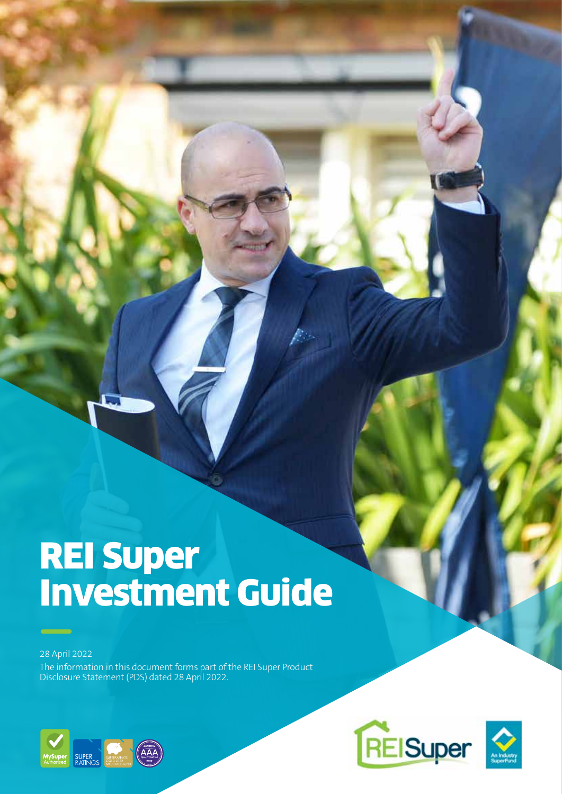# REI Super Investment Guide

28 April 2022 The information in this document forms part of the REI Super Product Disclosure Statement (PDS) dated 28 April 2022.



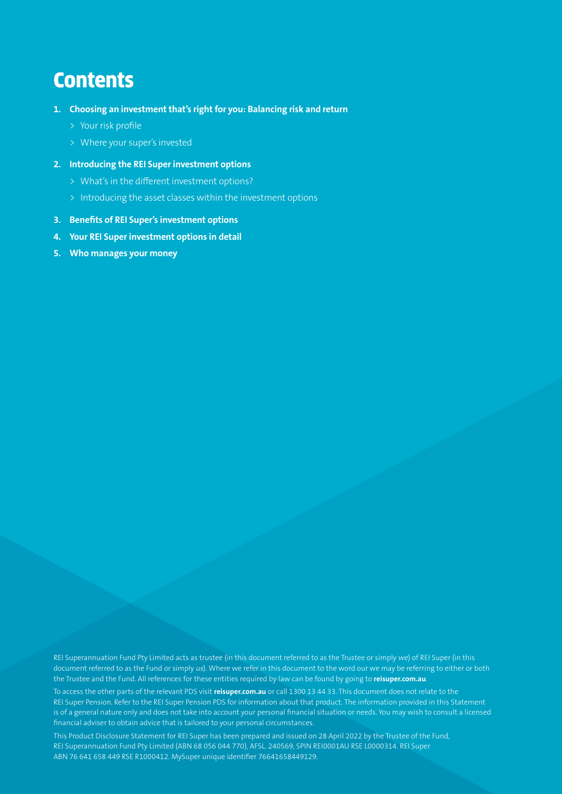# **Contents**

- **1. Choosing an investment that's right for you: Balancing risk and return**
	- > Your risk profile
	- > Where your super's invested
- **2. Introducing the REI Super investment options**
	- > What's in the different investment options?
	- > Introducing the asset classes within the investment options
- **3. Benefits of REI Super's investment options**
- **4. Your REI Super investment options in detail**
- **5. Who manages your money**

REI Superannuation Fund Pty Limited acts as trustee (in this document referred to as the Trustee or simply we) of REI Super (in this document referred to as the Fund or simply us). Where we refer in this document to the word our we may be referring to either or both the Trustee and the Fund. All references for these entities required by law can be found by going to **reisuper.com.au**.

To access the other parts of the relevant PDS visit **reisuper.com.au** or call 1300 13 44 33. This document does not relate to the REI Super Pension. Refer to the REI Super Pension PDS for information about that product. The information provided in this Statement is of a general nature only and does not take into account your personal financial situation or needs. You may wish to consult a licensed financial adviser to obtain advice that is tailored to your personal circumstances.

This Product Disclosure Statement for REI Super has been prepared and issued on 28 April 2022 by the Trustee of the Fund, REI Superannuation Fund Pty Limited (ABN 68 056 044 770), AFSL. 240569, SPIN REI0001AU RSE L0000314. REI Super ABN 76 641 658 449 RSE R1000412. MySuper unique identifier 76641658449129.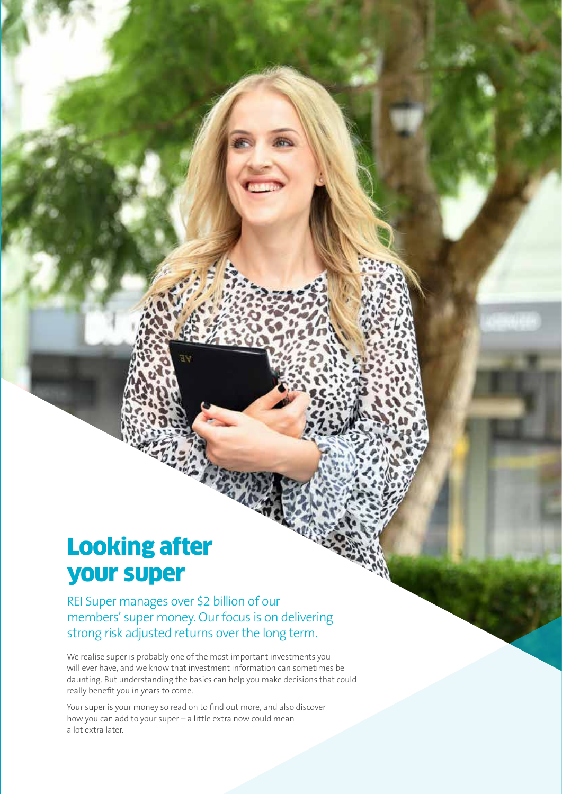# Looking after your super

REI Super manages over \$2 billion of our members' super money. Our focus is on delivering strong risk adjusted returns over the long term.

We realise super is probably one of the most important investments you will ever have, and we know that investment information can sometimes be daunting. But understanding the basics can help you make decisions that could really benefit you in years to come.

Your super is your money so read on to find out more, and also discover how you can add to your super – a little extra now could mean a lot extra later.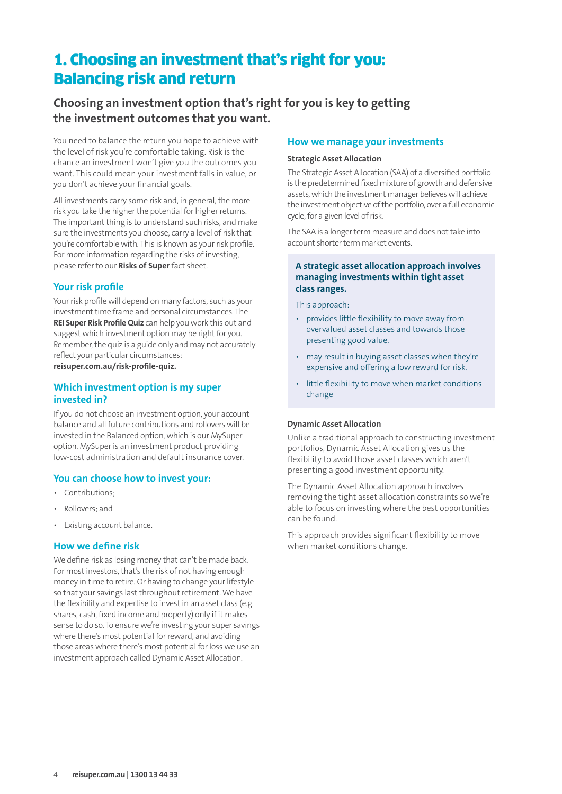### 1. Choosing an investment that's right for you: Balancing risk and return

#### **Choosing an investment option that's right for you is key to getting the investment outcomes that you want.**

You need to balance the return you hope to achieve with the level of risk you're comfortable taking. Risk is the chance an investment won't give you the outcomes you want. This could mean your investment falls in value, or you don't achieve your financial goals.

All investments carry some risk and, in general, the more risk you take the higher the potential for higher returns. The important thing is to understand such risks, and make sure the investments you choose, carry a level of risk that you're comfortable with. This is known as your risk profile. For more information regarding the risks of investing, please refer to our **Risks of Super** fact sheet.

#### **Your risk profile**

Your risk profile will depend on many factors, such as your investment time frame and personal circumstances. The **REI Super Risk Profile Quiz** can help you work this out and suggest which investment option may be right for you. Remember, the quiz is a guide only and may not accurately reflect your particular circumstances: **reisuper.com.au/risk-profile-quiz.**

#### **Which investment option is my super invested in?**

If you do not choose an investment option, your account balance and all future contributions and rollovers will be invested in the Balanced option, which is our MySuper option. MySuper is an investment product providing low-cost administration and default insurance cover.

#### **You can choose how to invest your:**

- Contributions;
- Rollovers; and
- Existing account balance.

#### **How we define risk**

We define risk as losing money that can't be made back. For most investors, that's the risk of not having enough money in time to retire. Or having to change your lifestyle so that your savings last throughout retirement. We have the flexibility and expertise to invest in an asset class (e.g. shares, cash, fixed income and property) only if it makes sense to do so. To ensure we're investing your super savings where there's most potential for reward, and avoiding those areas where there's most potential for loss we use an investment approach called Dynamic Asset Allocation.

#### **How we manage your investments**

#### **Strategic Asset Allocation**

The Strategic Asset Allocation (SAA) of a diversified portfolio is the predetermined fixed mixture of growth and defensive assets, which the investment manager believes will achieve the investment objective of the portfolio, over a full economic cycle, for a given level of risk.

The SAA is a longer term measure and does not take into account shorter term market events.

#### **A strategic asset allocation approach involves managing investments within tight asset class ranges.**

This approach:

- provides little flexibility to move away from overvalued asset classes and towards those presenting good value.
- may result in buying asset classes when they're expensive and offering a low reward for risk.
- little flexibility to move when market conditions change

#### **Dynamic Asset Allocation**

Unlike a traditional approach to constructing investment portfolios, Dynamic Asset Allocation gives us the flexibility to avoid those asset classes which aren't presenting a good investment opportunity.

The Dynamic Asset Allocation approach involves removing the tight asset allocation constraints so we're able to focus on investing where the best opportunities can be found.

This approach provides significant flexibility to move when market conditions change.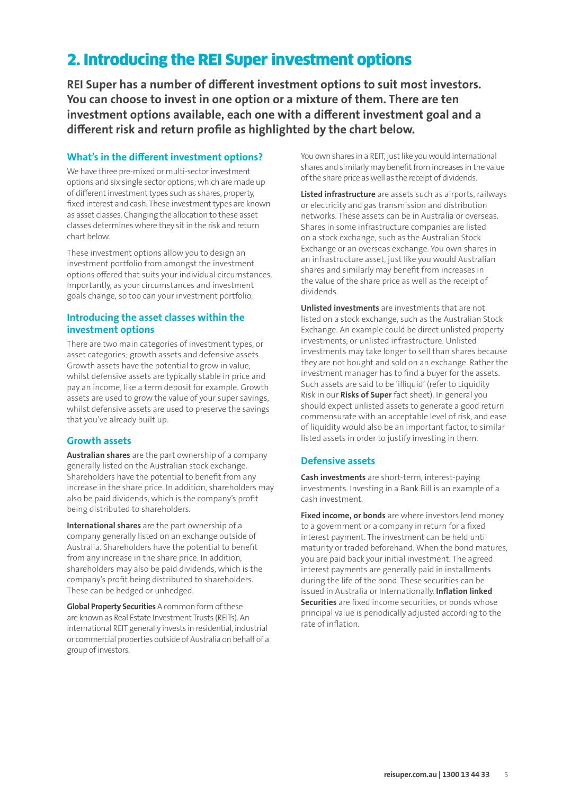# 2. Introducing the REI Super investment options

**REI Super has a number of different investment options to suit most investors. You can choose to invest in one option or a mixture of them. There are ten investment options available, each one with a different investment goal and a different risk and return profile as highlighted by the chart below.**

#### **What's in the different investment options?**

We have three pre-mixed or multi-sector investment options and six single sector options; which are made up of different investment types such as shares, property, fixed interest and cash. These investment types are known as asset classes. Changing the allocation to these asset classes determines where they sit in the risk and return chart below.

These investment options allow you to design an investment portfolio from amongst the investment options offered that suits your individual circumstances. Importantly, as your circumstances and investment goals change, so too can your investment portfolio.

#### **Introducing the asset classes within the investment options**

There are two main categories of investment types, or asset categories; growth assets and defensive assets. Growth assets have the potential to grow in value, whilst defensive assets are typically stable in price and pay an income, like a term deposit for example. Growth assets are used to grow the value of your super savings, whilst defensive assets are used to preserve the savings that you've already built up.

#### **Growth assets**

**Australian shares** are the part ownership of a company generally listed on the Australian stock exchange. Shareholders have the potential to benefit from any increase in the share price. In addition, shareholders may also be paid dividends, which is the company's profit being distributed to shareholders.

**International shares** are the part ownership of a company generally listed on an exchange outside of Australia. Shareholders have the potential to benefit from any increase in the share price. In addition, shareholders may also be paid dividends, which is the company's profit being distributed to shareholders. These can be hedged or unhedged.

**Global Property Securities** A common form of these are known as Real Estate Investment Trusts (REITs). An international REIT generally invests in residential, industrial or commercial properties outside of Australia on behalf of a group of investors.

You own shares in a REIT, just like you would international shares and similarly may benefit from increases in the value of the share price as well as the receipt of dividends.

**Listed infrastructure** are assets such as airports, railways or electricity and gas transmission and distribution networks. These assets can be in Australia or overseas. Shares in some infrastructure companies are listed on a stock exchange, such as the Australian Stock Exchange or an overseas exchange. You own shares in an infrastructure asset, just like you would Australian shares and similarly may benefit from increases in the value of the share price as well as the receipt of dividends.

**Unlisted investments** are investments that are not listed on a stock exchange, such as the Australian Stock Exchange. An example could be direct unlisted property investments, or unlisted infrastructure. Unlisted investments may take longer to sell than shares because they are not bought and sold on an exchange. Rather the investment manager has to find a buyer for the assets. Such assets are said to be 'illiquid' (refer to Liquidity Risk in our **Risks of Super** fact sheet). In general you should expect unlisted assets to generate a good return commensurate with an acceptable level of risk, and ease of liquidity would also be an important factor, to similar listed assets in order to justify investing in them.

#### **Defensive assets**

**Cash investments** are short-term, interest-paying investments. Investing in a Bank Bill is an example of a cash investment.

**Fixed income, or bonds** are where investors lend money to a government or a company in return for a fixed interest payment. The investment can be held until maturity or traded beforehand. When the bond matures, you are paid back your initial investment. The agreed interest payments are generally paid in installments during the life of the bond. These securities can be issued in Australia or Internationally. **Inflation linked Securities** are fixed income securities, or bonds whose principal value is periodically adjusted according to the rate of inflation.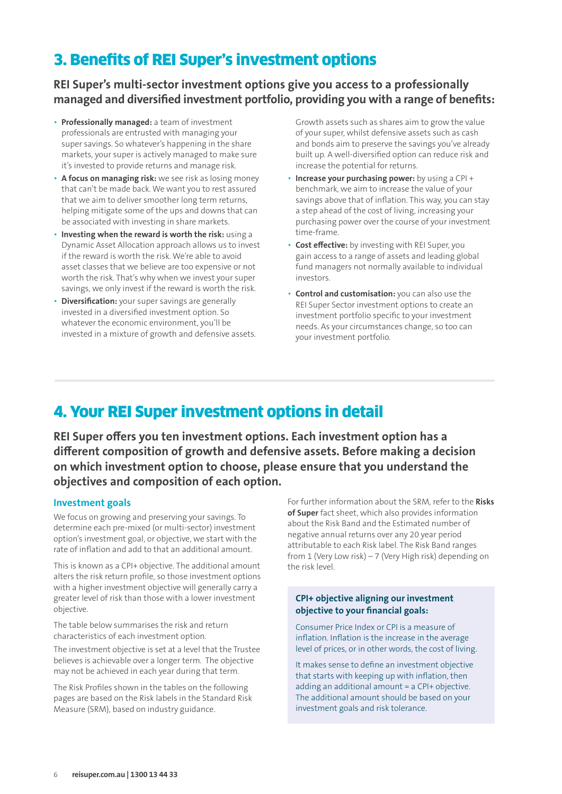# 3. Benefits of REI Super's investment options

**REI Super's multi-sector investment options give you access to a professionally managed and diversified investment portfolio, providing you with a range of benefits:** 

- **Professionally managed:** a team of investment professionals are entrusted with managing your super savings. So whatever's happening in the share markets, your super is actively managed to make sure it's invested to provide returns and manage risk.
- **A focus on managing risk:** we see risk as losing money that can't be made back. We want you to rest assured that we aim to deliver smoother long term returns, helping mitigate some of the ups and downs that can be associated with investing in share markets.
- **Investing when the reward is worth the risk:** using a Dynamic Asset Allocation approach allows us to invest if the reward is worth the risk. We're able to avoid asset classes that we believe are too expensive or not worth the risk. That's why when we invest your super savings, we only invest if the reward is worth the risk.
- **Diversification:** your super savings are generally invested in a diversified investment option. So whatever the economic environment, you'll be invested in a mixture of growth and defensive assets.

Growth assets such as shares aim to grow the value of your super, whilst defensive assets such as cash and bonds aim to preserve the savings you've already built up. A well-diversified option can reduce risk and increase the potential for returns.

- **Increase your purchasing power:** by using a CPI + benchmark, we aim to increase the value of your savings above that of inflation. This way, you can stay a step ahead of the cost of living, increasing your purchasing power over the course of your investment time-frame.
- **Cost effective:** by investing with REI Super, you gain access to a range of assets and leading global fund managers not normally available to individual investors.
- **Control and customisation:** you can also use the REI Super Sector investment options to create an investment portfolio specific to your investment needs. As your circumstances change, so too can your investment portfolio.

# 4. Your REI Super investment options in detail

**REI Super offers you ten investment options. Each investment option has a different composition of growth and defensive assets. Before making a decision on which investment option to choose, please ensure that you understand the objectives and composition of each option.** 

#### **Investment goals**

We focus on growing and preserving your savings. To determine each pre-mixed (or multi-sector) investment option's investment goal, or objective, we start with the rate of inflation and add to that an additional amount.

This is known as a CPI+ objective. The additional amount alters the risk return profile, so those investment options with a higher investment objective will generally carry a greater level of risk than those with a lower investment objective.

The table below summarises the risk and return characteristics of each investment option.

The investment objective is set at a level that the Trustee believes is achievable over a longer term. The objective may not be achieved in each year during that term.

The Risk Profiles shown in the tables on the following pages are based on the Risk labels in the Standard Risk Measure (SRM), based on industry guidance.

For further information about the SRM, refer to the **Risks of Super** fact sheet, which also provides information about the Risk Band and the Estimated number of negative annual returns over any 20 year period attributable to each Risk label. The Risk Band ranges from 1 (Very Low risk) – 7 (Very High risk) depending on the risk level.

#### **CPI+ objective aligning our investment objective to your financial goals:**

Consumer Price Index or CPI is a measure of inflation. Inflation is the increase in the average level of prices, or in other words, the cost of living.

It makes sense to define an investment objective that starts with keeping up with inflation, then adding an additional amount = a CPI+ objective. The additional amount should be based on your investment goals and risk tolerance.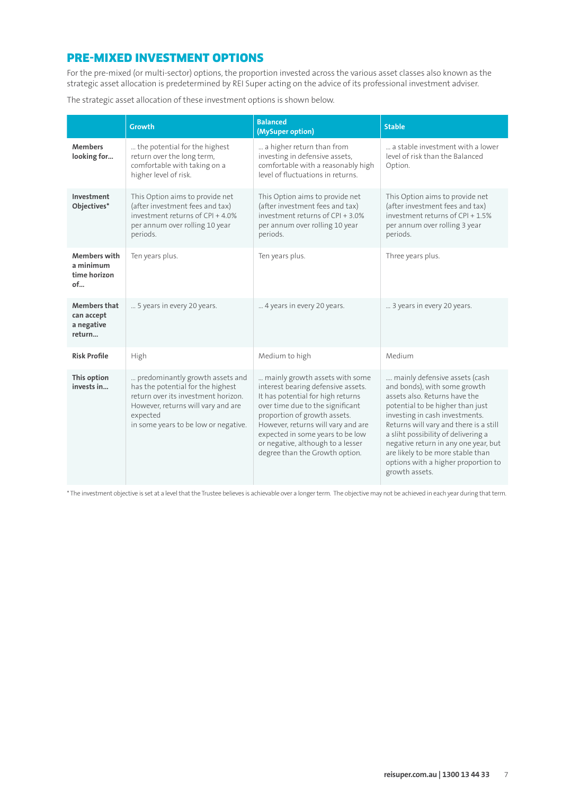#### PRE-MIXED INVESTMENT OPTIONS

For the pre-mixed (or multi-sector) options, the proportion invested across the various asset classes also known as the strategic asset allocation is predetermined by REI Super acting on the advice of its professional investment adviser.

The strategic asset allocation of these investment options is shown below.

|                                                           | <b>Growth</b>                                                                                                                                                                                         | <b>Balanced</b><br>(MySuper option)                                                                                                                                                                                                                                                                                            | <b>Stable</b>                                                                                                                                                                                                                                                                                                                                                                               |  |
|-----------------------------------------------------------|-------------------------------------------------------------------------------------------------------------------------------------------------------------------------------------------------------|--------------------------------------------------------------------------------------------------------------------------------------------------------------------------------------------------------------------------------------------------------------------------------------------------------------------------------|---------------------------------------------------------------------------------------------------------------------------------------------------------------------------------------------------------------------------------------------------------------------------------------------------------------------------------------------------------------------------------------------|--|
| <b>Members</b><br>looking for                             | the potential for the highest<br>return over the long term,<br>comfortable with taking on a<br>higher level of risk.                                                                                  | a higher return than from<br>investing in defensive assets,<br>comfortable with a reasonably high<br>level of fluctuations in returns                                                                                                                                                                                          | a stable investment with a lower<br>level of risk than the Balanced<br>Option.                                                                                                                                                                                                                                                                                                              |  |
| Investment<br>Objectives*                                 | This Option aims to provide net<br>(after investment fees and tax)<br>investment returns of CPI + 4.0%<br>per annum over rolling 10 year<br>periods.                                                  | This Option aims to provide net<br>(after investment fees and tax)<br>investment returns of CPI + 3.0%<br>per annum over rolling 10 year<br>periods.                                                                                                                                                                           | This Option aims to provide net<br>(after investment fees and tax)<br>investment returns of CPI + 1.5%<br>per annum over rolling 3 year<br>periods.                                                                                                                                                                                                                                         |  |
| <b>Members with</b><br>a minimum<br>time horizon<br>of    | Ten years plus.                                                                                                                                                                                       | Ten years plus.                                                                                                                                                                                                                                                                                                                | Three years plus.                                                                                                                                                                                                                                                                                                                                                                           |  |
| <b>Members that</b><br>can accept<br>a negative<br>return | 5 years in every 20 years.                                                                                                                                                                            | 4 years in every 20 years.                                                                                                                                                                                                                                                                                                     | 3 years in every 20 years.                                                                                                                                                                                                                                                                                                                                                                  |  |
| <b>Risk Profile</b>                                       | High                                                                                                                                                                                                  | Medium to high                                                                                                                                                                                                                                                                                                                 | Medium                                                                                                                                                                                                                                                                                                                                                                                      |  |
| This option<br>invests in                                 | predominantly growth assets and<br>has the potential for the highest<br>return over its investment horizon.<br>However, returns will vary and are<br>expected<br>in some years to be low or negative. | mainly growth assets with some<br>interest bearing defensive assets.<br>It has potential for high returns<br>over time due to the significant<br>proportion of growth assets.<br>However, returns will vary and are<br>expected in some years to be low<br>or negative, although to a lesser<br>degree than the Growth option. | mainly defensive assets (cash<br>and bonds), with some growth<br>assets also. Returns have the<br>potential to be higher than just<br>investing in cash investments.<br>Returns will vary and there is a still<br>a sliht possibility of delivering a<br>negative return in any one year, but<br>are likely to be more stable than<br>options with a higher proportion to<br>growth assets. |  |

\* The investment objective is set at a level that the Trustee believes is achievable over a longer term. The objective may not be achieved in each year during that term.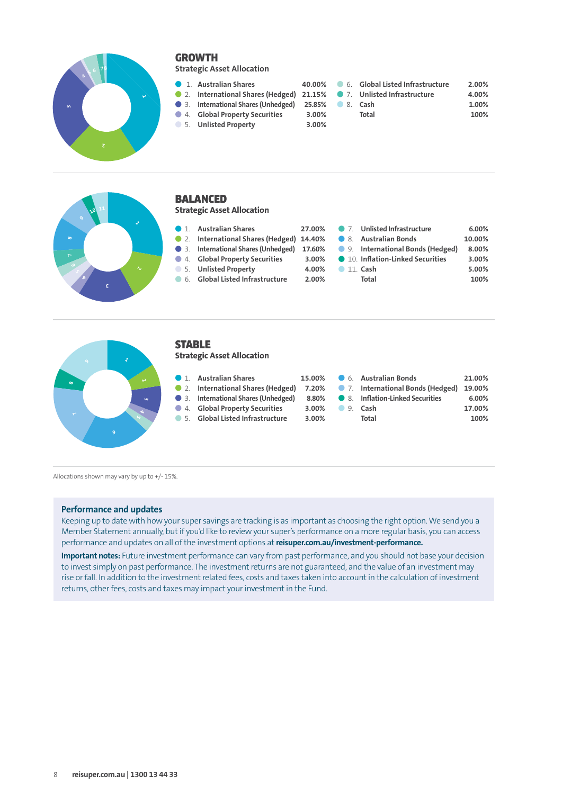

#### GROWTH

#### **Strategic Asset Allocation**

- 1. Australian Shares
- 2. **International Shares (Hedged) 21.15%**
- 3. **International Shares (Unhedged) 25.85%**
- 4. **Global Property Securities 3.00%** 5. **Unlisted Property 3.00%**
- 6. **Global Listed Infrastructure 2.00%** 7. **Unlisted Infrastructure 4.00%** 8. **Cash 1.00% Total 100%**



#### BALANCED **Strategic Asset Allocation**

- 1. **Australian Shares 27.00%**
	-
	- 3. **International Shares (Unhedged) 17.60%**
	-
- 4. **Global Property Securities 3.00%** 5. **Unlisted Property 4.00%**
- 6. **Global Listed Infrastructure 2.00%**
- 2. **International Shares (Hedged) 14.40%** 8. **Australian Bonds 10.00%**  7. **Unlisted Infrastructure 6.00%** 9. **International Bonds (Hedged) 8.00%** 10. **Inflation-Linked Securities 3.00%** 11. **Cash 5.00%**

**Total 100%**

**1 ب 3 6 8**

#### **STABLE Strategic Asset Allocation**

- 1. **Australian Shares 15.00%**
	- 2. **International Shares (Hedged) 7.20%** 7. **International Bonds (Hedged) 19.00%**
	- 3. **International Shares (Unhedged) 8.80%** 8. **Inflation-Linked Securities 6.00%**
- 4. **Global Property Securities 3.00%**
- 5. **Global Listed Infrastructure 3.00%**
- 6. **Australian Bonds 21.00%**
	-
	- 9. **Cash 17.00%**
		- **Total 100%**

Allocations shown may vary by up to +/- 15%.

#### **Performance and updates**

Keeping up to date with how your super savings are tracking is as important as choosing the right option. We send you a Member Statement annually, but if you'd like to review your super's performance on a more regular basis, you can access performance and updates on all of the investment options at **reisuper.com.au/investment-performance.**

**Important notes:** Future investment performance can vary from past performance, and you should not base your decision to invest simply on past performance. The investment returns are not guaranteed, and the value of an investment may rise or fall. In addition to the investment related fees, costs and taxes taken into account in the calculation of investment returns, other fees, costs and taxes may impact your investment in the Fund.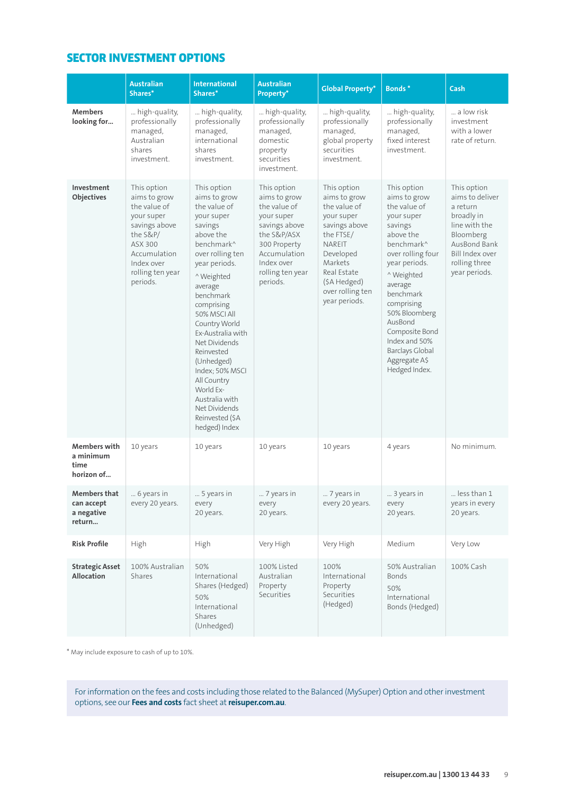#### SECTOR INVESTMENT OPTIONS

|                                                           | <b>Australian</b><br>Shares*                                                                                                                                    | <b>International</b><br>Shares*                                                                                                                                                                                                                                                                                                                                                                                               | <b>Australian</b><br>Property*                                                                                                                                          | <b>Global Property*</b>                                                                                                                                                                       | <b>Bonds*</b>                                                                                                                                                                                                                                                                                                             | Cash                                                                                                                                                        |
|-----------------------------------------------------------|-----------------------------------------------------------------------------------------------------------------------------------------------------------------|-------------------------------------------------------------------------------------------------------------------------------------------------------------------------------------------------------------------------------------------------------------------------------------------------------------------------------------------------------------------------------------------------------------------------------|-------------------------------------------------------------------------------------------------------------------------------------------------------------------------|-----------------------------------------------------------------------------------------------------------------------------------------------------------------------------------------------|---------------------------------------------------------------------------------------------------------------------------------------------------------------------------------------------------------------------------------------------------------------------------------------------------------------------------|-------------------------------------------------------------------------------------------------------------------------------------------------------------|
| <b>Members</b><br>looking for                             | high-quality,<br>professionally<br>managed,<br>Australian<br>shares<br>investment.                                                                              | high-quality,<br>professionally<br>managed,<br>international<br>shares<br>investment.                                                                                                                                                                                                                                                                                                                                         | high-quality,<br>professionally<br>managed,<br>domestic<br>property<br>securities<br>investment.                                                                        | high-quality,<br>professionally<br>managed,<br>global property<br>securities<br>investment.                                                                                                   | high-quality,<br>professionally<br>managed,<br>fixed interest<br>investment.                                                                                                                                                                                                                                              | a low risk<br>investment<br>with a lower<br>rate of return.                                                                                                 |
| Investment<br>Objectives                                  | This option<br>aims to grow<br>the value of<br>your super<br>savings above<br>the S&P/<br>ASX 300<br>Accumulation<br>Index over<br>rolling ten year<br>periods. | This option<br>aims to grow<br>the value of<br>your super<br>savings<br>above the<br>benchmark <sup>^</sup><br>over rolling ten<br>year periods.<br>^ Weighted<br>average<br>benchmark<br>comprising<br>50% MSCI All<br>Country World<br>Ex-Australia with<br>Net Dividends<br>Reinvested<br>(Unhedged)<br>Index; 50% MSCI<br>All Country<br>World Ex-<br>Australia with<br>Net Dividends<br>Reinvested (\$A<br>hedged) Index | This option<br>aims to grow<br>the value of<br>your super<br>savings above<br>the S&P/ASX<br>300 Property<br>Accumulation<br>Index over<br>rolling ten year<br>periods. | This option<br>aims to grow<br>the value of<br>your super<br>savings above<br>the FTSE/<br>NAREIT<br>Developed<br>Markets<br>Real Estate<br>(\$A Hedged)<br>over rolling ten<br>year periods. | This option<br>aims to grow<br>the value of<br>your super<br>savings<br>above the<br>benchmark <sup>^</sup><br>over rolling four<br>year periods.<br>^ Weighted<br>average<br>benchmark<br>comprising<br>50% Bloomberg<br>AusBond<br>Composite Bond<br>Index and 50%<br>Barclays Global<br>Aggregate A\$<br>Hedged Index. | This option<br>aims to deliver<br>a return<br>broadly in<br>line with the<br>Bloomberg<br>AusBond Bank<br>Bill Index over<br>rolling three<br>year periods. |
| <b>Members with</b><br>a minimum<br>time<br>horizon of    | 10 years                                                                                                                                                        | 10 years                                                                                                                                                                                                                                                                                                                                                                                                                      | 10 years                                                                                                                                                                | 10 years                                                                                                                                                                                      | 4 years                                                                                                                                                                                                                                                                                                                   | No minimum.                                                                                                                                                 |
| <b>Members that</b><br>can accept<br>a negative<br>return | 6 years in<br>every 20 years.                                                                                                                                   | 5 years in<br>every<br>20 years.                                                                                                                                                                                                                                                                                                                                                                                              | 7 years in<br>every<br>20 years.                                                                                                                                        | 7 years in<br>every 20 years.                                                                                                                                                                 | 3 years in<br>every<br>20 years.                                                                                                                                                                                                                                                                                          | less than 1<br>years in every<br>20 years.                                                                                                                  |
| <b>Risk Profile</b>                                       | High                                                                                                                                                            | High                                                                                                                                                                                                                                                                                                                                                                                                                          | Very High                                                                                                                                                               | Very High                                                                                                                                                                                     | Medium                                                                                                                                                                                                                                                                                                                    | Very Low                                                                                                                                                    |
| <b>Strategic Asset</b><br><b>Allocation</b>               | 100% Australian<br>Shares                                                                                                                                       | 50%<br>International<br>Shares (Hedged)<br>50%<br>International<br>Shares<br>(Unhedged)                                                                                                                                                                                                                                                                                                                                       | 100% Listed<br>Australian<br>Property<br>Securities                                                                                                                     | 100%<br>International<br>Property<br>Securities<br>(Hedged)                                                                                                                                   | 50% Australian<br>Bonds<br>50%<br>International<br>Bonds (Hedged)                                                                                                                                                                                                                                                         | 100% Cash                                                                                                                                                   |

\* May include exposure to cash of up to 10%.

For information on the fees and costs including those related to the Balanced (MySuper) Option and other investment options, see our **Fees and costs** fact sheet at **reisuper.com.au**.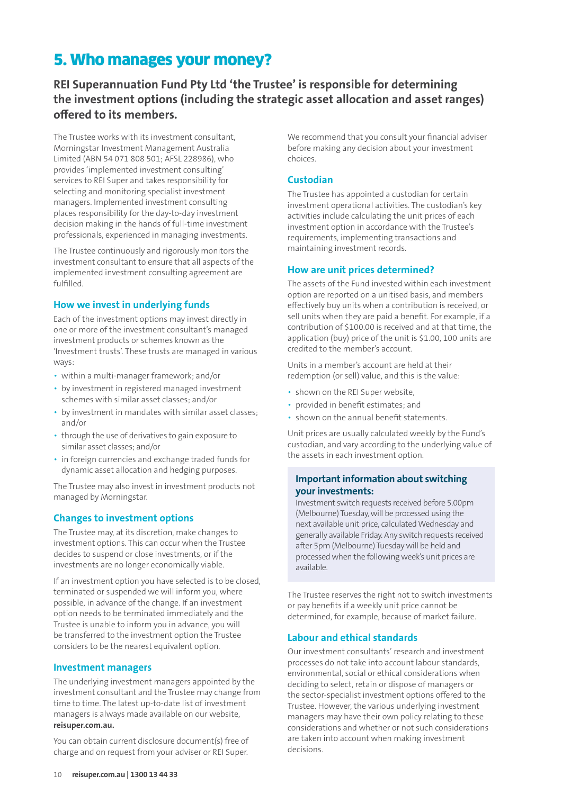### 5. Who manages your money?

#### **REI Superannuation Fund Pty Ltd 'the Trustee' is responsible for determining the investment options (including the strategic asset allocation and asset ranges) offered to its members.**

The Trustee works with its investment consultant, Morningstar Investment Management Australia Limited (ABN 54 071 808 501; AFSL 228986), who provides 'implemented investment consulting' services to REI Super and takes responsibility for selecting and monitoring specialist investment managers. Implemented investment consulting places responsibility for the day-to-day investment decision making in the hands of full-time investment professionals, experienced in managing investments.

The Trustee continuously and rigorously monitors the investment consultant to ensure that all aspects of the implemented investment consulting agreement are fulfilled.

#### **How we invest in underlying funds**

Each of the investment options may invest directly in one or more of the investment consultant's managed investment products or schemes known as the 'Investment trusts'. These trusts are managed in various ways:

- within a multi-manager framework; and/or
- by investment in registered managed investment schemes with similar asset classes; and/or
- by investment in mandates with similar asset classes; and/or
- through the use of derivatives to gain exposure to similar asset classes; and/or
- in foreign currencies and exchange traded funds for dynamic asset allocation and hedging purposes.

The Trustee may also invest in investment products not managed by Morningstar.

#### **Changes to investment options**

The Trustee may, at its discretion, make changes to investment options. This can occur when the Trustee decides to suspend or close investments, or if the investments are no longer economically viable.

If an investment option you have selected is to be closed, terminated or suspended we will inform you, where possible, in advance of the change. If an investment option needs to be terminated immediately and the Trustee is unable to inform you in advance, you will be transferred to the investment option the Trustee considers to be the nearest equivalent option.

#### **Investment managers**

The underlying investment managers appointed by the investment consultant and the Trustee may change from time to time. The latest up-to-date list of investment managers is always made available on our website, **reisuper.com.au.**

You can obtain current disclosure document(s) free of charge and on request from your adviser or REI Super.

We recommend that you consult your financial adviser before making any decision about your investment choices.

#### **Custodian**

The Trustee has appointed a custodian for certain investment operational activities. The custodian's key activities include calculating the unit prices of each investment option in accordance with the Trustee's requirements, implementing transactions and maintaining investment records.

#### **How are unit prices determined?**

The assets of the Fund invested within each investment option are reported on a unitised basis, and members effectively buy units when a contribution is received, or sell units when they are paid a benefit. For example, if a contribution of \$100.00 is received and at that time, the application (buy) price of the unit is \$1.00, 100 units are credited to the member's account.

Units in a member's account are held at their redemption (or sell) value, and this is the value:

- shown on the REI Super website,
- provided in benefit estimates; and
- shown on the annual benefit statements.

Unit prices are usually calculated weekly by the Fund's custodian, and vary according to the underlying value of the assets in each investment option.

#### **Important information about switching your investments:**

Investment switch requests received before 5.00pm (Melbourne) Tuesday, will be processed using the next available unit price, calculated Wednesday and generally available Friday. Any switch requests received after 5pm (Melbourne) Tuesday will be held and processed when the following week's unit prices are available.

The Trustee reserves the right not to switch investments or pay benefits if a weekly unit price cannot be determined, for example, because of market failure.

#### **Labour and ethical standards**

Our investment consultants' research and investment processes do not take into account labour standards, environmental, social or ethical considerations when deciding to select, retain or dispose of managers or the sector-specialist investment options offered to the Trustee. However, the various underlying investment managers may have their own policy relating to these considerations and whether or not such considerations are taken into account when making investment decisions.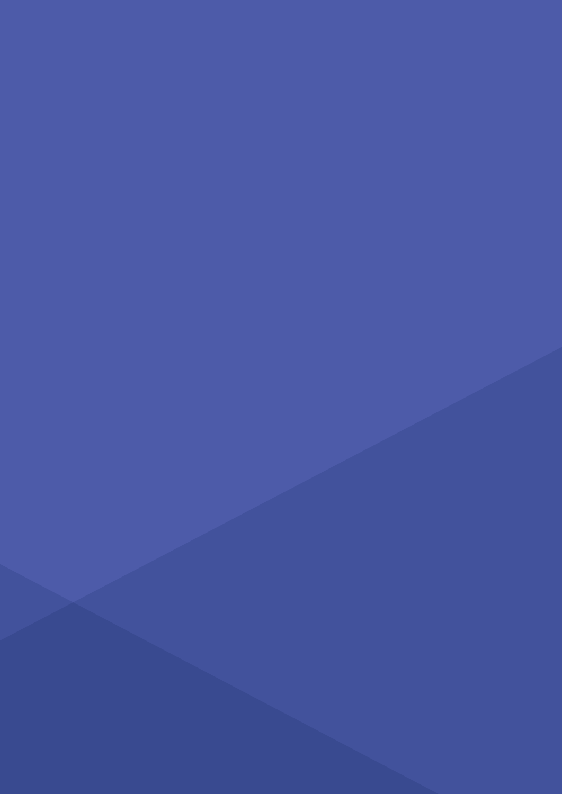